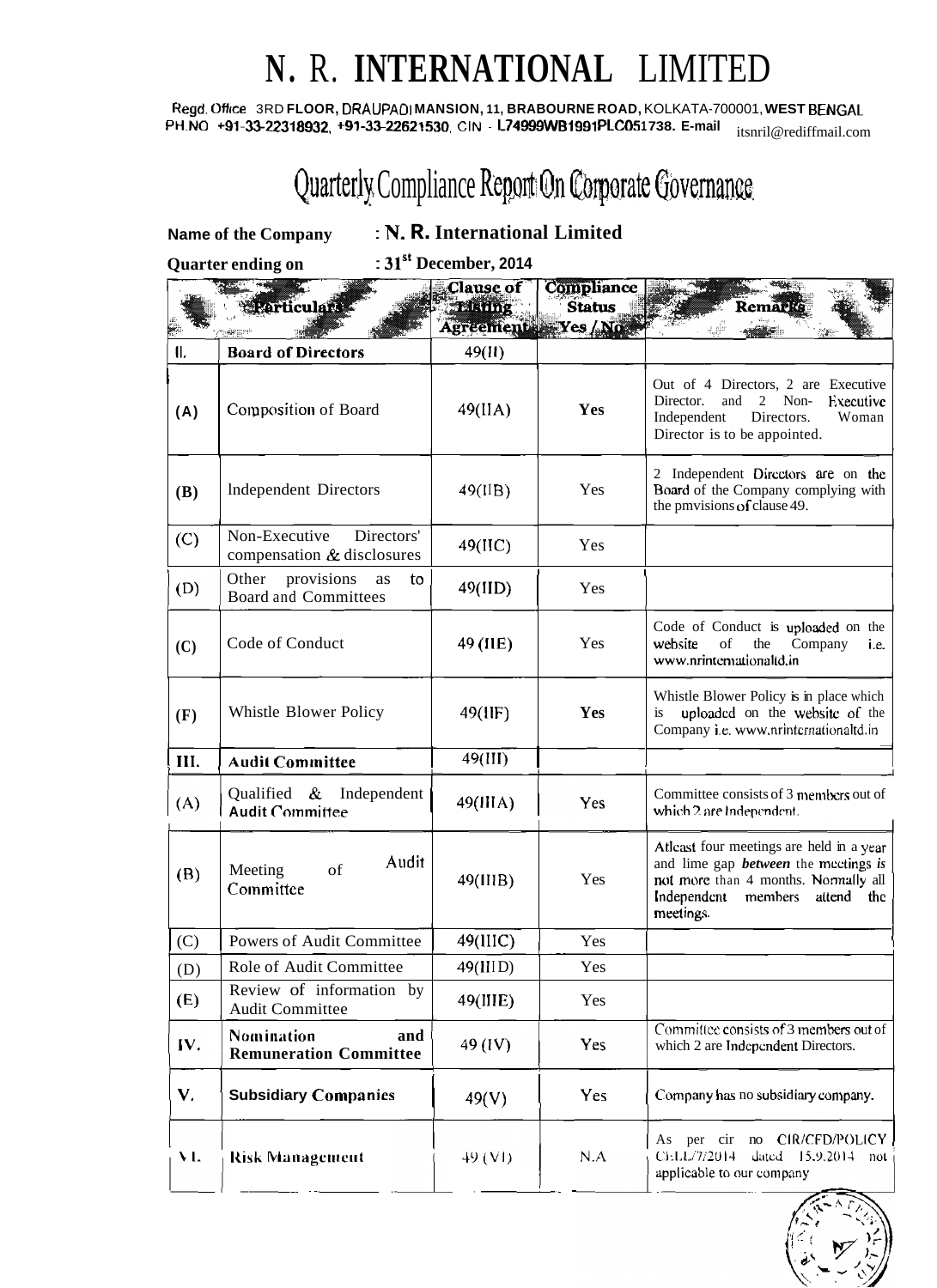## **N.** R. **INTERNATIONAL** LIMITED

**Regd. Office** 3RD **FLOOR, DRAUPAOI MANSION, 11, BRABOURNE ROAD,** KOLKATA-700001, **WEST BENGAL**  PH-NO **+91-33-22318932, +91-33-22621530, CIN** - **L74999WB1991 PLC05 1 738. E-mail** itsnril@rediffmail.com

## Quarterly Compliance Report On Corporate Governance

**Name of the Company** : **N. R. International Limited** 

**Quarter ending on** : **31'' December, <sup>2014</sup>**

|            | <b>Particulars</b>                                             | <b>Clause</b> of<br><b>Listing</b><br>Agreements Yes/No. | Compliance<br><b>Status</b> | <b>Remark</b>                                                                                                                                                                           |
|------------|----------------------------------------------------------------|----------------------------------------------------------|-----------------------------|-----------------------------------------------------------------------------------------------------------------------------------------------------------------------------------------|
| $\Pi$ .    | <b>Board of Directors</b>                                      | 49(11)                                                   |                             |                                                                                                                                                                                         |
| (A)        | Composition of Board                                           | 49(IIA)                                                  | Yes                         | Out of 4 Directors, 2 are Executive<br>$\overline{2}$<br>Non-<br>Executive<br>Director.<br>and<br>Independent<br>Directors.<br>Woman<br>Director is to be appointed.                    |
| <b>(B)</b> | Independent Directors                                          | 49(IIB)                                                  | Yes                         | 2 Independent Directors are on the<br>Board of the Company complying with<br>the pmvisions of clause 49.                                                                                |
| (C)        | Non-Executive<br>Directors'<br>compensation $\&$ disclosures   | 49(HC)                                                   | Yes                         |                                                                                                                                                                                         |
| (D)        | Other<br>provisions<br>to<br>as<br><b>Board and Committees</b> | 49(IID)                                                  | Yes                         |                                                                                                                                                                                         |
| (C)        | Code of Conduct                                                | 49 (IIE)                                                 | Yes                         | Code of Conduct is uploaded on the<br>website<br>of<br>the<br>Company<br>i.e.<br>www.nrintemationaltd.in                                                                                |
| (F)        | Whistle Blower Policy                                          | 49(IIF)                                                  | Yes                         | Whistle Blower Policy is in place which<br>uploaded on the website of the<br>is<br>Company i.e. www.nrinternationaltd.in                                                                |
| III.       | <b>Audit Committee</b>                                         | 49(III)                                                  |                             |                                                                                                                                                                                         |
| (A)        | Qualified & Independent<br><b>Audit Committee</b>              | 49(IIIA)                                                 | Yes                         | Committee consists of 3 members out of<br>which 2 are Independent.                                                                                                                      |
| (B)        | Audit<br>of<br>Meeting<br>Committee                            | 49(IIIB)                                                 | Yes                         | Atleast four meetings are held in a year<br>and lime gap <b>between</b> the meetings is<br>not more than 4 months. Normally all<br>Independent<br>members<br>attend<br>the<br>meetings. |
| (C)        | Powers of Audit Committee                                      | 49(IIIC)                                                 | Yes                         |                                                                                                                                                                                         |
| (D)        | Role of Audit Committee                                        | 49(IIID)                                                 | Yes                         |                                                                                                                                                                                         |
| (E)        | Review of information by<br><b>Audit Committee</b>             | 49(IIIE)                                                 | Yes                         |                                                                                                                                                                                         |
| IV.        | Nomination<br>and<br><b>Remuneration Committee</b>             | 49 (IV)                                                  | <b>Yes</b>                  | Committee consists of 3 members out of<br>which 2 are Independent Directors.                                                                                                            |
| V.         | <b>Subsidiary Companies</b>                                    | 49(V)                                                    | Yes                         | Company has no subsidiary company.                                                                                                                                                      |
| VI.        | <b>Risk Management</b>                                         | 49 (V1)                                                  | N.A                         | As per cir no CIR/CFD/POLICY<br>CELL/7/2014<br>dated<br>$15.9.2014$ not<br>applicable to our company                                                                                    |